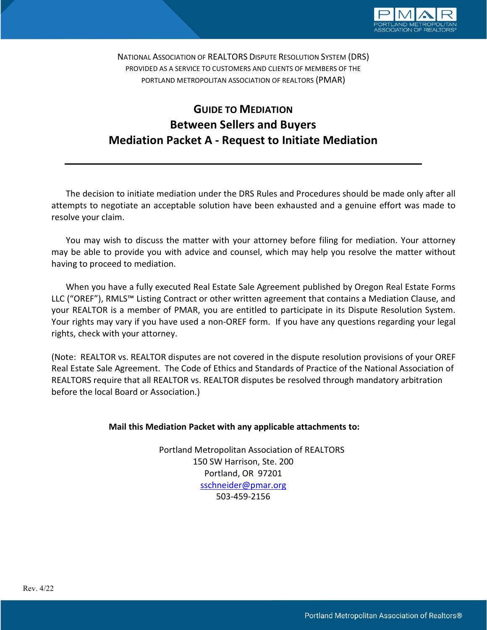

NATIONAL ASSOCIATION OF REALTORS DISPUTE RESOLUTION SYSTEM (DRS) PROVIDED AS A SERVICE TO CUSTOMERS AND CLIENTS OF MEMBERS OF THE PORTLAND METROPOLITAN ASSOCIATION OF REALTORS (PMAR)

# GUIDE TO MEDIATION Between Sellers and Buyers Mediation Packet A - Request to Initiate Mediation

The decision to initiate mediation under the DRS Rules and Procedures should be made only after all attempts to negotiate an acceptable solution have been exhausted and a genuine effort was made to resolve your claim.

You may wish to discuss the matter with your attorney before filing for mediation. Your attorney may be able to provide you with advice and counsel, which may help you resolve the matter without having to proceed to mediation.

When you have a fully executed Real Estate Sale Agreement published by Oregon Real Estate Forms LLC ("OREF"), RMLS™ Listing Contract or other written agreement that contains a Mediation Clause, and your REALTOR is a member of PMAR, you are entitled to participate in its Dispute Resolution System. Your rights may vary if you have used a non-OREF form. If you have any questions regarding your legal rights, check with your attorney.

(Note: REALTOR vs. REALTOR disputes are not covered in the dispute resolution provisions of your OREF Real Estate Sale Agreement. The Code of Ethics and Standards of Practice of the National Association of REALTORS require that all REALTOR vs. REALTOR disputes be resolved through mandatory arbitration before the local Board or Association.)

# Mail this Mediation Packet with any applicable attachments to:

 Portland Metropolitan Association of REALTORS 150 SW Harrison, Ste. 200 Portland, OR 97201 sschneider@pmar.org 503-459-2156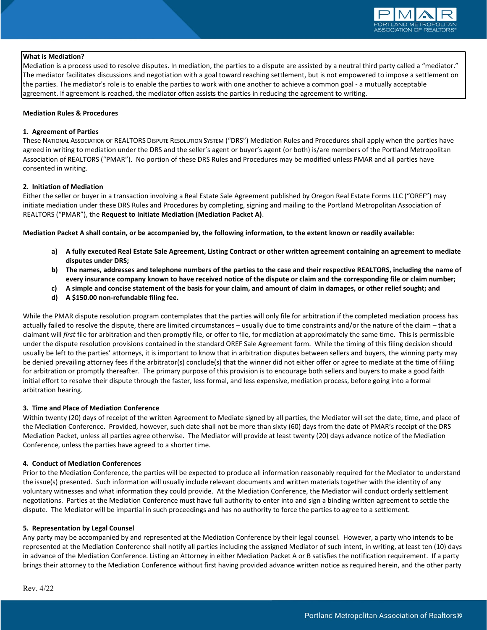

#### What is Mediation?

Mediation is a process used to resolve disputes. In mediation, the parties to a dispute are assisted by a neutral third party called a "mediator." The mediator facilitates discussions and negotiation with a goal toward reaching settlement, but is not empowered to impose a settlement on the parties. The mediator's role is to enable the parties to work with one another to achieve a common goal - a mutually acceptable agreement. If agreement is reached, the mediator often assists the parties in reducing the agreement to writing.

#### Mediation Rules & Procedures

#### 1. Agreement of Parties

These NATIONAL ASSOCIATION OF REALTORS DISPUTE RESOLUTION SYSTEM ("DRS") Mediation Rules and Procedures shall apply when the parties have agreed in writing to mediation under the DRS and the seller's agent or buyer's agent (or both) is/are members of the Portland Metropolitan Association of REALTORS ("PMAR"). No portion of these DRS Rules and Procedures may be modified unless PMAR and all parties have consented in writing.

#### 2. Initiation of Mediation

Either the seller or buyer in a transaction involving a Real Estate Sale Agreement published by Oregon Real Estate Forms LLC ("OREF") may initiate mediation under these DRS Rules and Procedures by completing, signing and mailing to the Portland Metropolitan Association of REALTORS ("PMAR"), the Request to Initiate Mediation (Mediation Packet A).

Mediation Packet A shall contain, or be accompanied by, the following information, to the extent known or readily available:

- a) A fully executed Real Estate Sale Agreement, Listing Contract or other written agreement containing an agreement to mediate disputes under DRS;
- b) The names, addresses and telephone numbers of the parties to the case and their respective REALTORS, including the name of every insurance company known to have received notice of the dispute or claim and the corresponding file or claim number;
- c) A simple and concise statement of the basis for your claim, and amount of claim in damages, or other relief sought; and
- d) A \$150.00 non-refundable filing fee.

While the PMAR dispute resolution program contemplates that the parties will only file for arbitration if the completed mediation process has actually failed to resolve the dispute, there are limited circumstances – usually due to time constraints and/or the nature of the claim – that a claimant will first file for arbitration and then promptly file, or offer to file, for mediation at approximately the same time. This is permissible under the dispute resolution provisions contained in the standard OREF Sale Agreement form. While the timing of this filing decision should usually be left to the parties' attorneys, it is important to know that in arbitration disputes between sellers and buyers, the winning party may be denied prevailing attorney fees if the arbitrator(s) conclude(s) that the winner did not either offer or agree to mediate at the time of filing for arbitration or promptly thereafter. The primary purpose of this provision is to encourage both sellers and buyers to make a good faith initial effort to resolve their dispute through the faster, less formal, and less expensive, mediation process, before going into a formal arbitration hearing.

#### 3. Time and Place of Mediation Conference

Within twenty (20) days of receipt of the written Agreement to Mediate signed by all parties, the Mediator will set the date, time, and place of the Mediation Conference. Provided, however, such date shall not be more than sixty (60) days from the date of PMAR's receipt of the DRS Mediation Packet, unless all parties agree otherwise. The Mediator will provide at least twenty (20) days advance notice of the Mediation Conference, unless the parties have agreed to a shorter time.

#### 4. Conduct of Mediation Conferences

Prior to the Mediation Conference, the parties will be expected to produce all information reasonably required for the Mediator to understand the issue(s) presented. Such information will usually include relevant documents and written materials together with the identity of any voluntary witnesses and what information they could provide. At the Mediation Conference, the Mediator will conduct orderly settlement negotiations. Parties at the Mediation Conference must have full authority to enter into and sign a binding written agreement to settle the dispute. The Mediator will be impartial in such proceedings and has no authority to force the parties to agree to a settlement.

#### 5. Representation by Legal Counsel

Any party may be accompanied by and represented at the Mediation Conference by their legal counsel. However, a party who intends to be represented at the Mediation Conference shall notify all parties including the assigned Mediator of such intent, in writing, at least ten (10) days in advance of the Mediation Conference. Listing an Attorney in either Mediation Packet A or B satisfies the notification requirement. If a party brings their attorney to the Mediation Conference without first having provided advance written notice as required herein, and the other party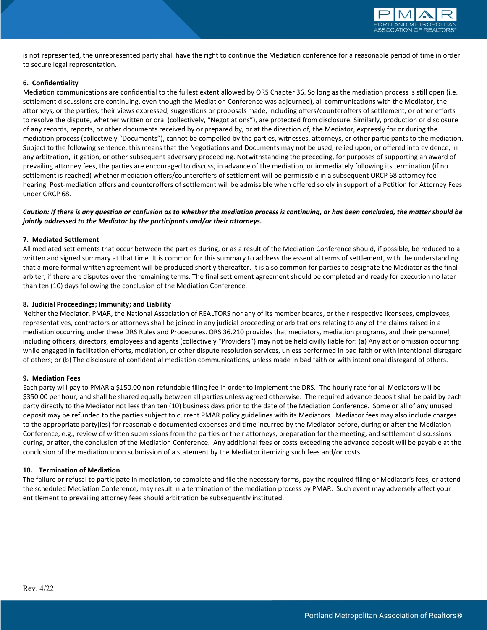

is not represented, the unrepresented party shall have the right to continue the Mediation conference for a reasonable period of time in order to secure legal representation.

#### 6. Confidentiality

Mediation communications are confidential to the fullest extent allowed by ORS Chapter 36. So long as the mediation process is still open (i.e. settlement discussions are continuing, even though the Mediation Conference was adjourned), all communications with the Mediator, the attorneys, or the parties, their views expressed, suggestions or proposals made, including offers/counteroffers of settlement, or other efforts to resolve the dispute, whether written or oral (collectively, "Negotiations"), are protected from disclosure. Similarly, production or disclosure of any records, reports, or other documents received by or prepared by, or at the direction of, the Mediator, expressly for or during the mediation process (collectively "Documents"), cannot be compelled by the parties, witnesses, attorneys, or other participants to the mediation. Subject to the following sentence, this means that the Negotiations and Documents may not be used, relied upon, or offered into evidence, in any arbitration, litigation, or other subsequent adversary proceeding. Notwithstanding the preceding, for purposes of supporting an award of prevailing attorney fees, the parties are encouraged to discuss, in advance of the mediation, or immediately following its termination (if no settlement is reached) whether mediation offers/counteroffers of settlement will be permissible in a subsequent ORCP 68 attorney fee hearing. Post-mediation offers and counteroffers of settlement will be admissible when offered solely in support of a Petition for Attorney Fees under ORCP 68.

### Caution: If there is any question or confusion as to whether the mediation process is continuing, or has been concluded, the matter should be jointly addressed to the Mediator by the participants and/or their attorneys.

#### 7. Mediated Settlement

All mediated settlements that occur between the parties during, or as a result of the Mediation Conference should, if possible, be reduced to a written and signed summary at that time. It is common for this summary to address the essential terms of settlement, with the understanding that a more formal written agreement will be produced shortly thereafter. It is also common for parties to designate the Mediator as the final arbiter, if there are disputes over the remaining terms. The final settlement agreement should be completed and ready for execution no later than ten (10) days following the conclusion of the Mediation Conference.

#### 8. Judicial Proceedings; Immunity; and Liability

Neither the Mediator, PMAR, the National Association of REALTORS nor any of its member boards, or their respective licensees, employees, representatives, contractors or attorneys shall be joined in any judicial proceeding or arbitrations relating to any of the claims raised in a mediation occurring under these DRS Rules and Procedures. ORS 36.210 provides that mediators, mediation programs, and their personnel, including officers, directors, employees and agents (collectively "Providers") may not be held civilly liable for: (a) Any act or omission occurring while engaged in facilitation efforts, mediation, or other dispute resolution services, unless performed in bad faith or with intentional disregard of others; or (b) The disclosure of confidential mediation communications, unless made in bad faith or with intentional disregard of others.

#### 9. Mediation Fees

Each party will pay to PMAR a \$150.00 non-refundable filing fee in order to implement the DRS. The hourly rate for all Mediators will be \$350.00 per hour, and shall be shared equally between all parties unless agreed otherwise. The required advance deposit shall be paid by each party directly to the Mediator not less than ten (10) business days prior to the date of the Mediation Conference. Some or all of any unused deposit may be refunded to the parties subject to current PMAR policy guidelines with its Mediators. Mediator fees may also include charges to the appropriate party(ies) for reasonable documented expenses and time incurred by the Mediator before, during or after the Mediation Conference, e.g., review of written submissions from the parties or their attorneys, preparation for the meeting, and settlement discussions during, or after, the conclusion of the Mediation Conference. Any additional fees or costs exceeding the advance deposit will be payable at the conclusion of the mediation upon submission of a statement by the Mediator itemizing such fees and/or costs.

#### 10. Termination of Mediation

The failure or refusal to participate in mediation, to complete and file the necessary forms, pay the required filing or Mediator's fees, or attend the scheduled Mediation Conference, may result in a termination of the mediation process by PMAR. Such event may adversely affect your entitlement to prevailing attorney fees should arbitration be subsequently instituted.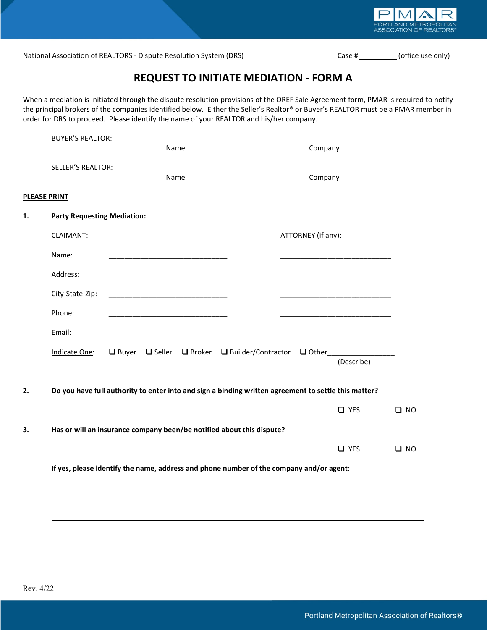

National Association of REALTORS - Dispute Resolution System (DRS) Case # (Office use only) Case # (office use only)

# REQUEST TO INITIATE MEDIATION - FORM A

When a mediation is initiated through the dispute resolution provisions of the OREF Sale Agreement form, PMAR is required to notify the principal brokers of the companies identified below. Either the Seller's Realtor® or Buyer's REALTOR must be a PMAR member in order for DRS to proceed. Please identify the name of your REALTOR and his/her company.

|                                    | <b>BUYER'S REALTOR:</b> |                                                                                           |                                                                                                      |              |
|------------------------------------|-------------------------|-------------------------------------------------------------------------------------------|------------------------------------------------------------------------------------------------------|--------------|
|                                    |                         | Name                                                                                      | Company                                                                                              |              |
|                                    |                         |                                                                                           |                                                                                                      |              |
|                                    |                         | Name                                                                                      | Company                                                                                              |              |
| <b>PLEASE PRINT</b>                |                         |                                                                                           |                                                                                                      |              |
| <b>Party Requesting Mediation:</b> |                         |                                                                                           |                                                                                                      |              |
| CLAIMANT:                          |                         |                                                                                           | ATTORNEY (if any):                                                                                   |              |
| Name:                              |                         |                                                                                           |                                                                                                      |              |
| Address:                           |                         |                                                                                           |                                                                                                      |              |
| City-State-Zip:                    |                         | <u> 1989 - John Stein, Amerikaansk politiker (* 1908)</u>                                 |                                                                                                      |              |
| Phone:                             |                         |                                                                                           |                                                                                                      |              |
| Email:                             |                         | the control of the control of the control of the control of the control of the control of | the control of the control of the control of the control of the control of                           |              |
| Indicate One:                      |                         |                                                                                           | □ Buyer □ Seller □ Broker □ Builder/Contractor □ Other _____________                                 |              |
|                                    |                         |                                                                                           | (Describe)                                                                                           |              |
|                                    |                         |                                                                                           |                                                                                                      |              |
|                                    |                         |                                                                                           | Do you have full authority to enter into and sign a binding written agreement to settle this matter? |              |
|                                    |                         |                                                                                           | $\Box$ YES                                                                                           | $\Box$ NO    |
|                                    |                         | Has or will an insurance company been/be notified about this dispute?                     |                                                                                                      |              |
|                                    |                         |                                                                                           | $\Box$ YES                                                                                           | $\square$ NO |
|                                    |                         |                                                                                           |                                                                                                      |              |
|                                    |                         |                                                                                           | If yes, please identify the name, address and phone number of the company and/or agent:              |              |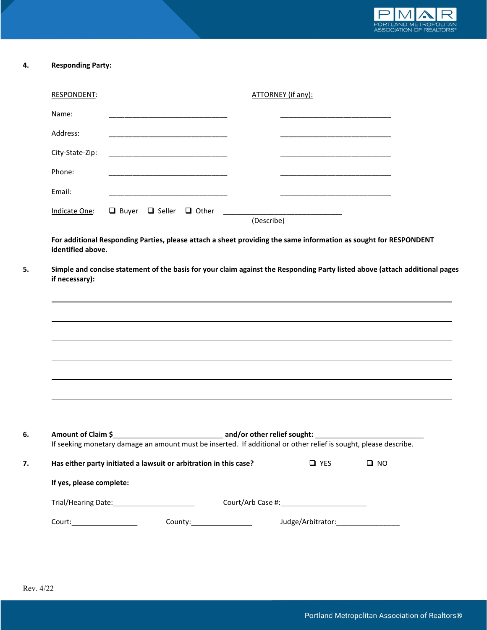

# 4. Responding Party:

| <b>RESPONDENT:</b>                                                                                                                   |  |                                                                                                                             | ATTORNEY (if any): |            |           |  |
|--------------------------------------------------------------------------------------------------------------------------------------|--|-----------------------------------------------------------------------------------------------------------------------------|--------------------|------------|-----------|--|
| Name:                                                                                                                                |  |                                                                                                                             |                    |            |           |  |
| Address:                                                                                                                             |  |                                                                                                                             |                    |            |           |  |
| City-State-Zip:                                                                                                                      |  |                                                                                                                             |                    |            |           |  |
| Phone:                                                                                                                               |  |                                                                                                                             |                    |            |           |  |
| Email:                                                                                                                               |  |                                                                                                                             |                    |            |           |  |
| Indicate One:                                                                                                                        |  |                                                                                                                             | (Describe)         |            |           |  |
|                                                                                                                                      |  | Simple and concise statement of the basis for your claim against the Responding Party listed above (attach additional pages |                    |            |           |  |
| if necessary):                                                                                                                       |  | ,我们也不会有什么。""我们的人,我们也不会有什么?""我们的人,我们也不会有什么?""我们的人,我们也不会有什么?""我们的人,我们也不会有什么?""我们的人                                            |                    |            |           |  |
|                                                                                                                                      |  | ,我们也不会有什么。""我们的人,我们也不会有什么?""我们的人,我们也不会有什么?""我们的人,我们也不会有什么?""我们的人,我们也不会有什么?""我们的人                                            |                    |            |           |  |
|                                                                                                                                      |  |                                                                                                                             |                    |            |           |  |
|                                                                                                                                      |  |                                                                                                                             |                    |            |           |  |
|                                                                                                                                      |  |                                                                                                                             |                    |            |           |  |
|                                                                                                                                      |  |                                                                                                                             |                    |            |           |  |
|                                                                                                                                      |  | If seeking monetary damage an amount must be inserted. If additional or other relief is sought, please describe.            |                    |            |           |  |
|                                                                                                                                      |  |                                                                                                                             |                    | $\Box$ YES | $\Box$ NO |  |
|                                                                                                                                      |  |                                                                                                                             |                    |            |           |  |
| Has either party initiated a lawsuit or arbitration in this case?<br>If yes, please complete:<br>Trial/Hearing Date: 1997 March 2014 |  | Court/Arb Case #: 1999 March 2014                                                                                           |                    |            |           |  |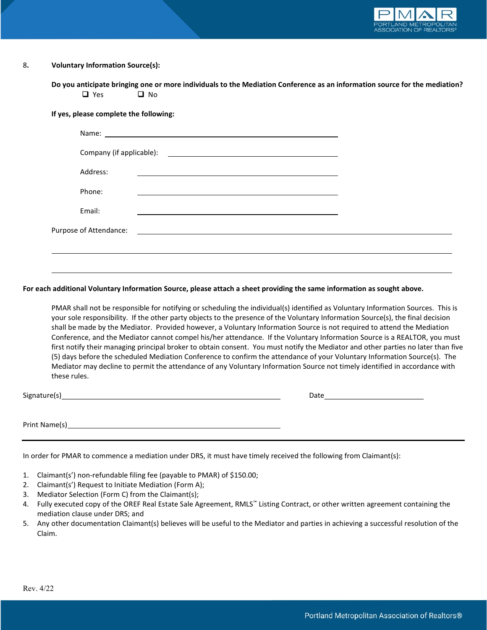

# 8. Voluntary Information Source(s):

Do you anticipate bringing one or more individuals to the Mediation Conference as an information source for the mediation?  $\Box$  Yes  $\Box$  No

|  |  |  |  | If yes, please complete the following: |
|--|--|--|--|----------------------------------------|
|--|--|--|--|----------------------------------------|

| Address: |                                                                                                                                                                                                                               |  |
|----------|-------------------------------------------------------------------------------------------------------------------------------------------------------------------------------------------------------------------------------|--|
| Phone:   |                                                                                                                                                                                                                               |  |
| Email:   |                                                                                                                                                                                                                               |  |
|          | Purpose of Attendance: Law and Contract and Contract and Contract and Contract and Contract and Contract and Contract and Contract and Contract and Contract and Contract and Contract and Contract and Contract and Contract |  |
|          |                                                                                                                                                                                                                               |  |
|          |                                                                                                                                                                                                                               |  |

#### For each additional Voluntary Information Source, please attach a sheet providing the same information as sought above.

PMAR shall not be responsible for notifying or scheduling the individual(s) identified as Voluntary Information Sources. This is your sole responsibility. If the other party objects to the presence of the Voluntary Information Source(s), the final decision shall be made by the Mediator. Provided however, a Voluntary Information Source is not required to attend the Mediation Conference, and the Mediator cannot compel his/her attendance. If the Voluntary Information Source is a REALTOR, you must first notify their managing principal broker to obtain consent. You must notify the Mediator and other parties no later than five (5) days before the scheduled Mediation Conference to confirm the attendance of your Voluntary Information Source(s). The Mediator may decline to permit the attendance of any Voluntary Information Source not timely identified in accordance with these rules.

Signature(s) Date

Print Name(s)

In order for PMAR to commence a mediation under DRS, it must have timely received the following from Claimant(s):

- 1. Claimant(s') non-refundable filing fee (payable to PMAR) of \$150.00;
- 2. Claimant(s') Request to Initiate Mediation (Form A);
- 3. Mediator Selection (Form C) from the Claimant(s);
- 4. Fully executed copy of the OREF Real Estate Sale Agreement, RMLS™ Listing Contract, or other written agreement containing the mediation clause under DRS; and
- 5. Any other documentation Claimant(s) believes will be useful to the Mediator and parties in achieving a successful resolution of the Claim.